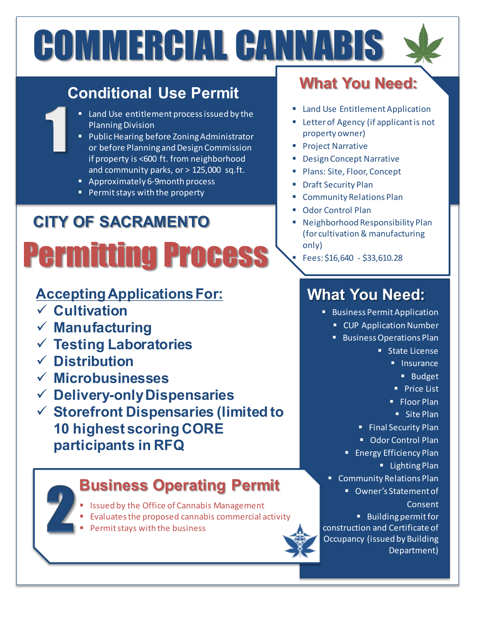# COMMERCIAL CANNABIS

#### **Conditional Use Permit**

- Land Use entitlement process issued by the Planning Division
- **Public Hearing before Zoning Administrator** or before Planning and Design Commission if property is <600 ft. from neighborhood and community parks, or > 125,000 sq.ft.
- **Approximately 6-9month process**
- **Permit stays with the property**

## Permitting Process **CITY OF SACRAMENTO**

#### **Accepting Applications For:**

- **Cultivation**
- **Manufacturing**
- **Testing Laboratories**
- **Distribution**
- **Microbusinesses**
- **Delivery-only Dispensaries**
- **Storefront Dispensaries (limited to 10 highest scoring CORE participants in RFQ**

#### **Business Operating Permit**

- Issued by the Office of Cannabis Management
- Evaluates the proposed cannabis commercial activity
- Permit stays with the business

### **What You Need:**

- **E** Land Use Entitlement Application
- **Exercise Agency (if applicant is not** property owner)
- **Project Narrative**
- Design Concept Narrative
- Plans: Site, Floor, Concept
- **Draft Security Plan**
- **E** Community Relations Plan
- Odor Control Plan
- Neighborhood Responsibility Plan (for cultivation & manufacturing only)
	- Fees: \$16,640 \$33,610.28

#### **What You Need:**

- **Business Permit Application** 
	- **EX CUP Application Number**
	- **Business Operations Plan** 
		- **State License** 
			- **Insurance** 
				- **Budget**
			- **Price List**
			- **Floor Plan**
			- Site Plan
		- **Final Security Plan**
		- **Odor Control Plan**
		- **Energy Efficiency Plan** 
			- **Lighting Plan**
	- **Community Relations Plan** 
		- Owner's Statement of Consent

 Building permit for construction and Certificate of Occupancy (issued by Building Department)